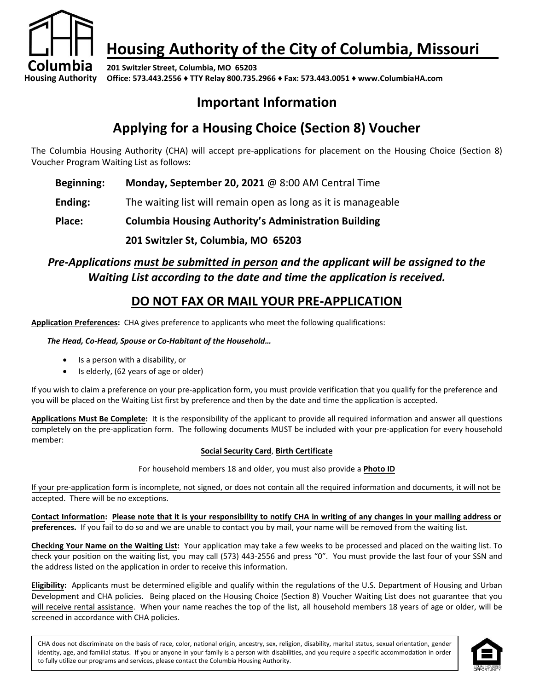

# **Housing Authority of the City of Columbia, Missouri**

**201 Switzler Street, Columbia, MO 65203 Office: 573.443.2556 ♦ TTY Relay 800.735.2966 ♦ Fax: 573.443.0051 ♦ www.ColumbiaHA.com**

## **Important Information**

## **Applying for a Housing Choice (Section 8) Voucher**

The Columbia Housing Authority (CHA) will accept pre-applications for placement on the Housing Choice (Section 8) Voucher Program Waiting List as follows:

- **Beginning: Monday, September 20, 2021** @ 8:00 AM Central Time
- **Ending:** The waiting list will remain open as long as it is manageable

**Place: Columbia Housing Authority's Administration Building**

**201 Switzler St, Columbia, MO 65203**

### *Pre-Applications must be submitted in person and the applicant will be assigned to the Waiting List according to the date and time the application is received.*

### **DO NOT FAX OR MAIL YOUR PRE-APPLICATION**

**Application Preferences:** CHA gives preference to applicants who meet the following qualifications:

#### *The Head, Co-Head, Spouse or Co-Habitant of the Household…*

- Is a person with a disability, or
- Is elderly, (62 years of age or older)

If you wish to claim a preference on your pre-application form, you must provide verification that you qualify for the preference and you will be placed on the Waiting List first by preference and then by the date and time the application is accepted.

**Applications Must Be Complete:** It is the responsibility of the applicant to provide all required information and answer all questions completely on the pre-application form. The following documents MUST be included with your pre-application for every household member:

#### **Social Security Card**, **Birth Certificate**

For household members 18 and older, you must also provide a **Photo ID**

If your pre-application form is incomplete, not signed, or does not contain all the required information and documents, it will not be accepted. There will be no exceptions.

**Contact Information: Please note that it is your responsibility to notify CHA in writing of any changes in your mailing address or preferences.** If you fail to do so and we are unable to contact you by mail, your name will be removed from the waiting list.

**Checking Your Name on the Waiting List:** Your application may take a few weeks to be processed and placed on the waiting list. To check your position on the waiting list, you may call (573) 443-2556 and press "0". You must provide the last four of your SSN and the address listed on the application in order to receive this information.

**Eligibility:** Applicants must be determined eligible and qualify within the regulations of the U.S. Department of Housing and Urban Development and CHA policies. Being placed on the Housing Choice (Section 8) Voucher Waiting List does not guarantee that you will receive rental assistance. When your name reaches the top of the list, all household members 18 years of age or older, will be screened in accordance with CHA policies.

CHA does not discriminate on the basis of race, color, national origin, ancestry, sex, religion, disability, marital status, sexual orientation, gender identity, age, and familial status. If you or anyone in your family is a person with disabilities, and you require a specific accommodation in order to fully utilize our programs and services, please contact the Columbia Housing Authority.

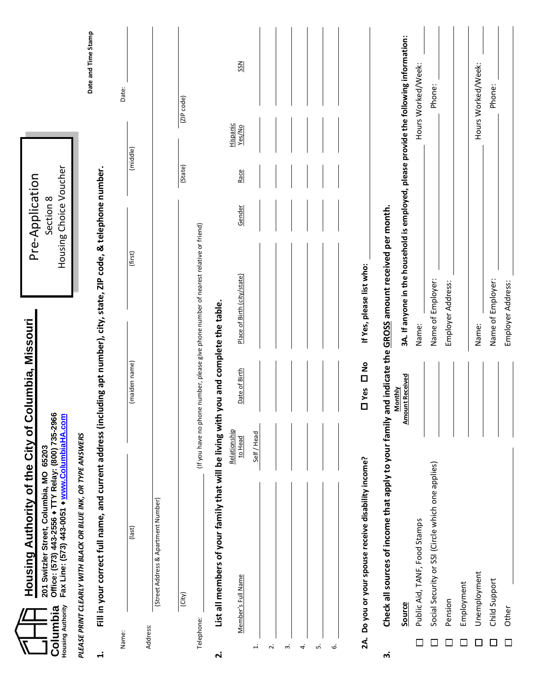| <b>Housing Authority</b><br>Columbia | Housing Authority of the City of Columbia, Missouri<br>201 Switzler Street, Columbia, MO 65203<br>Office: (573) 443-2556 + TTY Relay: (800) 735-2966<br>Fax Line: (573) 443-0051 + www.ColumbiaHA.com |                                   |                                                                                       | Housing Choice Voucher<br>Pre-Application<br>Section 8 |            |                     |
|--------------------------------------|-------------------------------------------------------------------------------------------------------------------------------------------------------------------------------------------------------|-----------------------------------|---------------------------------------------------------------------------------------|--------------------------------------------------------|------------|---------------------|
| $\ddot{ }$                           | Fill in your correct full name, and current address (including apt number), city, state, ZIP code, & telephone number.<br>PLEASE PRINT CLEARLY WITH BLACK OR BLUE INK, OR TYPE ANSWERS                |                                   |                                                                                       |                                                        |            | Date and Time Stamp |
| Name:                                | (last)                                                                                                                                                                                                | (maiden name)                     | (first)                                                                               |                                                        | (middle)   | Date:               |
| Address:                             | (Street Address & Apartment Number)                                                                                                                                                                   |                                   |                                                                                       |                                                        |            |                     |
|                                      | (City)                                                                                                                                                                                                |                                   |                                                                                       | (State)                                                | (ZIP code) |                     |
| Telephone:                           |                                                                                                                                                                                                       |                                   | (If you have no phone number, please give phone number of nearest relative or friend) |                                                        |            |                     |
| $\dot{\mathbf{r}}$                   | List all members of your family that will be living with                                                                                                                                              | you and complete the table.       |                                                                                       |                                                        |            |                     |
|                                      | Relationship                                                                                                                                                                                          |                                   |                                                                                       |                                                        | Hispanic   |                     |
|                                      | to Head<br>Member's Full Name                                                                                                                                                                         | Date of Birth                     | Place of Birth (city/state)                                                           | Race<br>Gender                                         | Yes/No     | SSN                 |
| $\div$                               | Self / Head                                                                                                                                                                                           |                                   |                                                                                       |                                                        |            |                     |
| $\overline{\mathbf{c}}$              |                                                                                                                                                                                                       |                                   |                                                                                       |                                                        |            |                     |
| m                                    |                                                                                                                                                                                                       |                                   |                                                                                       |                                                        |            |                     |
| 4.                                   |                                                                                                                                                                                                       |                                   |                                                                                       |                                                        |            |                     |
| ιή                                   |                                                                                                                                                                                                       |                                   |                                                                                       |                                                        |            |                     |
| نی                                   |                                                                                                                                                                                                       |                                   |                                                                                       |                                                        |            |                     |
|                                      |                                                                                                                                                                                                       |                                   |                                                                                       |                                                        |            |                     |
|                                      | 2A. Do you or your spouse receive disability income?                                                                                                                                                  | D Yes D No                        | If Yes, please list who:                                                              |                                                        |            |                     |
| ကဲ                                   | Check all sources of income that apply to your family and indicate the GROSS amount received per month.                                                                                               |                                   |                                                                                       |                                                        |            |                     |
|                                      | Source                                                                                                                                                                                                | <b>Amount Received</b><br>Monthly | 3A. If anyone in the household is employed, please provide the following information: |                                                        |            |                     |
|                                      | Public Aid, TANF, Food Stamps                                                                                                                                                                         |                                   | Name:                                                                                 |                                                        |            | Hours Worked/Week:  |
|                                      | Social Security or SSI (Circle which one applies)                                                                                                                                                     |                                   | Name of Employer:                                                                     |                                                        |            | Phone:              |
| $\mathsf{L}$                         | Pension                                                                                                                                                                                               |                                   | Employer Address:                                                                     |                                                        |            |                     |
|                                      | Employment                                                                                                                                                                                            |                                   |                                                                                       |                                                        |            |                     |
|                                      | Unemployment                                                                                                                                                                                          |                                   | Name:                                                                                 |                                                        |            | Hours Worked/Week:  |
|                                      | Child Support                                                                                                                                                                                         |                                   | Name of Employer:                                                                     |                                                        |            | Phone:              |
|                                      | Other                                                                                                                                                                                                 |                                   | Employer Address:                                                                     |                                                        |            |                     |